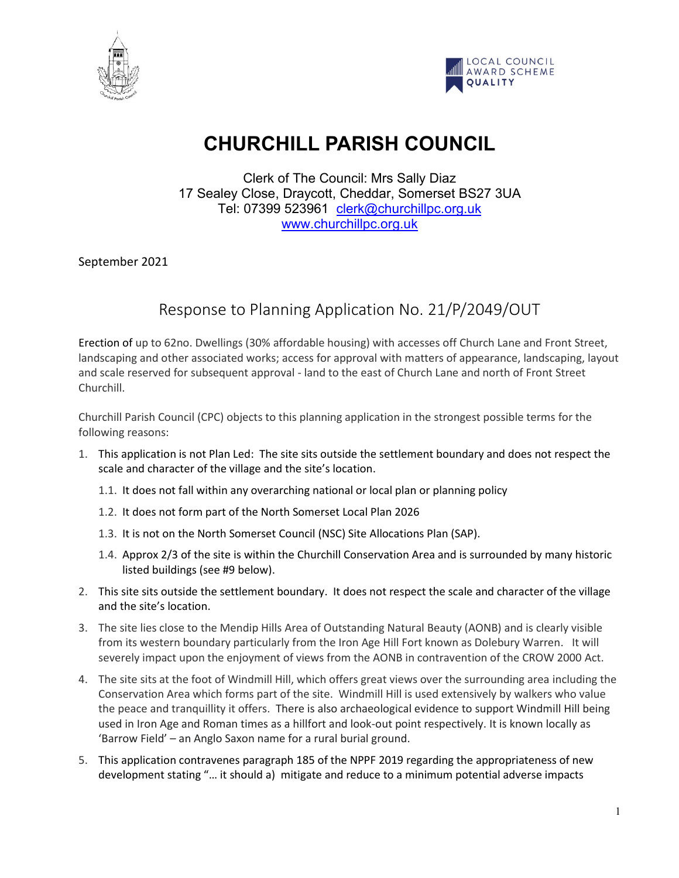



# **CHURCHILL PARISH COUNCIL**

Clerk of The Council: Mrs Sally Diaz 17 Sealey Close, Draycott, Cheddar, Somerset BS27 3UA Tel: 07399 523961 [clerk@churchillpc.org.uk](mailto:clerk@churchillpc.org.uk) [www.churchillpc.org.uk](http://www.churchillpc.org.uk/)

September 2021

# Response to Planning Application No. 21/P/2049/OUT

Erection of up to 62no. Dwellings (30% affordable housing) with accesses off Church Lane and Front Street, landscaping and other associated works; access for approval with matters of appearance, landscaping, layout and scale reserved for subsequent approval - land to the east of Church Lane and north of Front Street Churchill.

Churchill Parish Council (CPC) objects to this planning application in the strongest possible terms for the following reasons:

- 1. This application is not Plan Led: The site sits outside the settlement boundary and does not respect the scale and character of the village and the site's location.
	- 1.1. It does not fall within any overarching national or local plan or planning policy
	- 1.2. It does not form part of the North Somerset Local Plan 2026
	- 1.3. It is not on the North Somerset Council (NSC) Site Allocations Plan (SAP).
	- 1.4. Approx 2/3 of the site is within the Churchill Conservation Area and is surrounded by many historic listed buildings (see #9 below).
- 2. This site sits outside the settlement boundary. It does not respect the scale and character of the village and the site's location.
- 3. The site lies close to the Mendip Hills Area of Outstanding Natural Beauty (AONB) and is clearly visible from its western boundary particularly from the Iron Age Hill Fort known as Dolebury Warren. It will severely impact upon the enjoyment of views from the AONB in contravention of the CROW 2000 Act.
- 4. The site sits at the foot of Windmill Hill, which offers great views over the surrounding area including the Conservation Area which forms part of the site. Windmill Hill is used extensively by walkers who value the peace and tranquillity it offers. There is also archaeological evidence to support Windmill Hill being used in Iron Age and Roman times as a hillfort and look-out point respectively. It is known locally as 'Barrow Field' – an Anglo Saxon name for a rural burial ground.
- 5. This application contravenes paragraph 185 of the NPPF 2019 regarding the appropriateness of new development stating "… it should a) mitigate and reduce to a minimum potential adverse impacts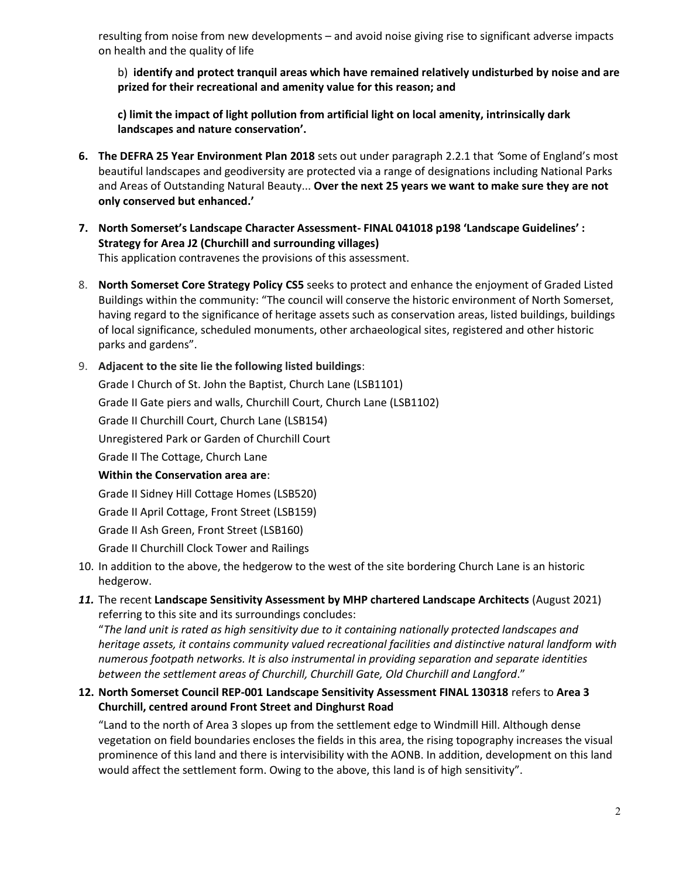resulting from noise from new developments – and avoid noise giving rise to significant adverse impacts on health and the quality of life

b) **identify and protect tranquil areas which have remained relatively undisturbed by noise and are prized for their recreational and amenity value for this reason; and** 

**c) limit the impact of light pollution from artificial light on local amenity, intrinsically dark landscapes and nature conservation'.** 

- **6. The DEFRA 25 Year Environment Plan 2018** sets out under paragraph 2.2.1 that *'*Some of England's most beautiful landscapes and geodiversity are protected via a range of designations including National Parks and Areas of Outstanding Natural Beauty... **Over the next 25 years we want to make sure they are not only conserved but enhanced.'**
- **7. North Somerset's Landscape Character Assessment- FINAL 041018 p198 'Landscape Guidelines' : Strategy for Area J2 (Churchill and surrounding villages)**  This application contravenes the provisions of this assessment.
- 8. **North Somerset Core Strategy Policy CS5** seeks to protect and enhance the enjoyment of Graded Listed Buildings within the community: "The council will conserve the historic environment of North Somerset, having regard to the significance of heritage assets such as conservation areas, listed buildings, buildings of local significance, scheduled monuments, other archaeological sites, registered and other historic parks and gardens".

## 9. **Adjacent to the site lie the following listed buildings**:

Grade I Church of St. John the Baptist, Church Lane (LSB1101) Grade II Gate piers and walls, Churchill Court, Church Lane (LSB1102) Grade II Churchill Court, Church Lane (LSB154) Unregistered Park or Garden of Churchill Court Grade II The Cottage, Church Lane **Within the Conservation area are**: Grade II Sidney Hill Cottage Homes (LSB520) Grade II April Cottage, Front Street (LSB159) Grade II Ash Green, Front Street (LSB160) Grade II Churchill Clock Tower and Railings

- 10. In addition to the above, the hedgerow to the west of the site bordering Church Lane is an historic hedgerow.
- *11.* The recent **Landscape Sensitivity Assessment by MHP chartered Landscape Architects** (August 2021) referring to this site and its surroundings concludes:

"*The land unit is rated as high sensitivity due to it containing nationally protected landscapes and heritage assets, it contains community valued recreational facilities and distinctive natural landform with numerous footpath networks. It is also instrumental in providing separation and separate identities between the settlement areas of Churchill, Churchill Gate, Old Churchill and Langford*."

# **12. North Somerset Council REP-001 Landscape Sensitivity Assessment FINAL 130318** refers to **Area 3 Churchill, centred around Front Street and Dinghurst Road**

"Land to the north of Area 3 slopes up from the settlement edge to Windmill Hill. Although dense vegetation on field boundaries encloses the fields in this area, the rising topography increases the visual prominence of this land and there is intervisibility with the AONB. In addition, development on this land would affect the settlement form. Owing to the above, this land is of high sensitivity".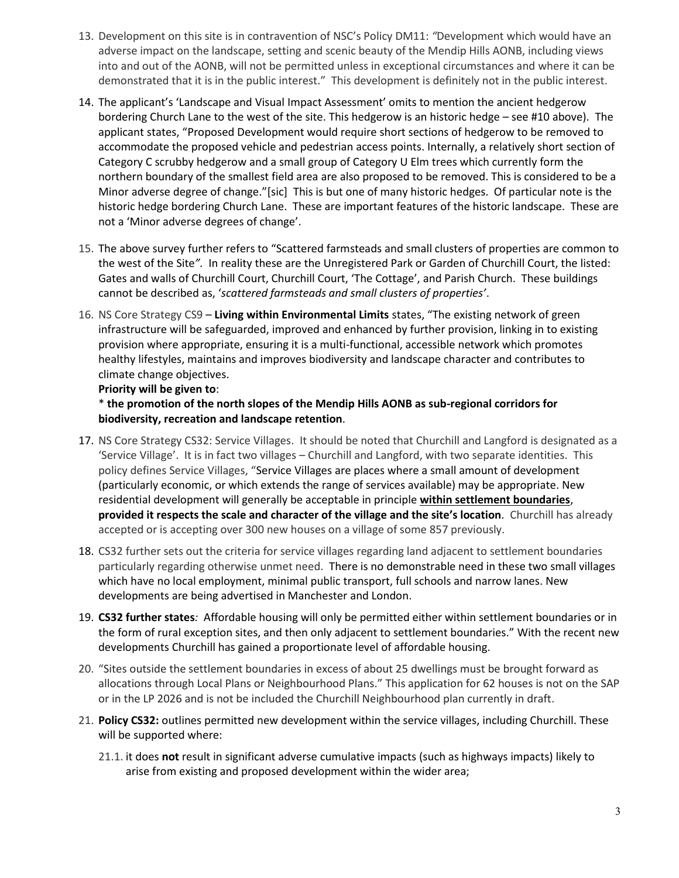- 13. Development on this site is in contravention of NSC's Policy DM11: *"*Development which would have an adverse impact on the landscape, setting and scenic beauty of the Mendip Hills AONB, including views into and out of the AONB, will not be permitted unless in exceptional circumstances and where it can be demonstrated that it is in the public interest." This development is definitely not in the public interest.
- 14. The applicant's 'Landscape and Visual Impact Assessment' omits to mention the ancient hedgerow bordering Church Lane to the west of the site. This hedgerow is an historic hedge – see #10 above). The applicant states, "Proposed Development would require short sections of hedgerow to be removed to accommodate the proposed vehicle and pedestrian access points. Internally, a relatively short section of Category C scrubby hedgerow and a small group of Category U Elm trees which currently form the northern boundary of the smallest field area are also proposed to be removed. This is considered to be a Minor adverse degree of change."[sic] This is but one of many historic hedges. Of particular note is the historic hedge bordering Church Lane. These are important features of the historic landscape. These are not a 'Minor adverse degrees of change'.
- 15. The above survey further refers to "Scattered farmsteads and small clusters of properties are common to the west of the Site*".* In reality these are the Unregistered Park or Garden of Churchill Court, the listed: Gates and walls of Churchill Court, Churchill Court, 'The Cottage', and Parish Church. These buildings cannot be described as, '*scattered farmsteads and small clusters of properties'*.
- 16. NS Core Strategy CS9 **Living within Environmental Limits** states, "The existing network of green infrastructure will be safeguarded, improved and enhanced by further provision, linking in to existing provision where appropriate, ensuring it is a multi-functional, accessible network which promotes healthy lifestyles, maintains and improves biodiversity and landscape character and contributes to climate change objectives.

## **Priority will be given to**:

\* **the promotion of the north slopes of the Mendip Hills AONB as sub-regional corridors for biodiversity, recreation and landscape retention**.

- 17. NS Core Strategy CS32: Service Villages. It should be noted that Churchill and Langford is designated as a 'Service Village'. It is in fact two villages – Churchill and Langford, with two separate identities. This policy defines Service Villages, "Service Villages are places where a small amount of development (particularly economic, or which extends the range of services available) may be appropriate. New residential development will generally be acceptable in principle **within settlement boundaries**, **provided it respects the scale and character of the village and the site's location**. Churchill has already accepted or is accepting over 300 new houses on a village of some 857 previously.
- 18. CS32 further sets out the criteria for service villages regarding land adjacent to settlement boundaries particularly regarding otherwise unmet need. There is no demonstrable need in these two small villages which have no local employment, minimal public transport, full schools and narrow lanes. New developments are being advertised in Manchester and London.
- 19. **CS32 further states***:* Affordable housing will only be permitted either within settlement boundaries or in the form of rural exception sites, and then only adjacent to settlement boundaries." With the recent new developments Churchill has gained a proportionate level of affordable housing.
- 20. "Sites outside the settlement boundaries in excess of about 25 dwellings must be brought forward as allocations through Local Plans or Neighbourhood Plans." This application for 62 houses is not on the SAP or in the LP 2026 and is not be included the Churchill Neighbourhood plan currently in draft.
- 21. **Policy CS32:** outlines permitted new development within the service villages, including Churchill. These will be supported where:
	- 21.1. it does **not** result in significant adverse cumulative impacts (such as highways impacts) likely to arise from existing and proposed development within the wider area;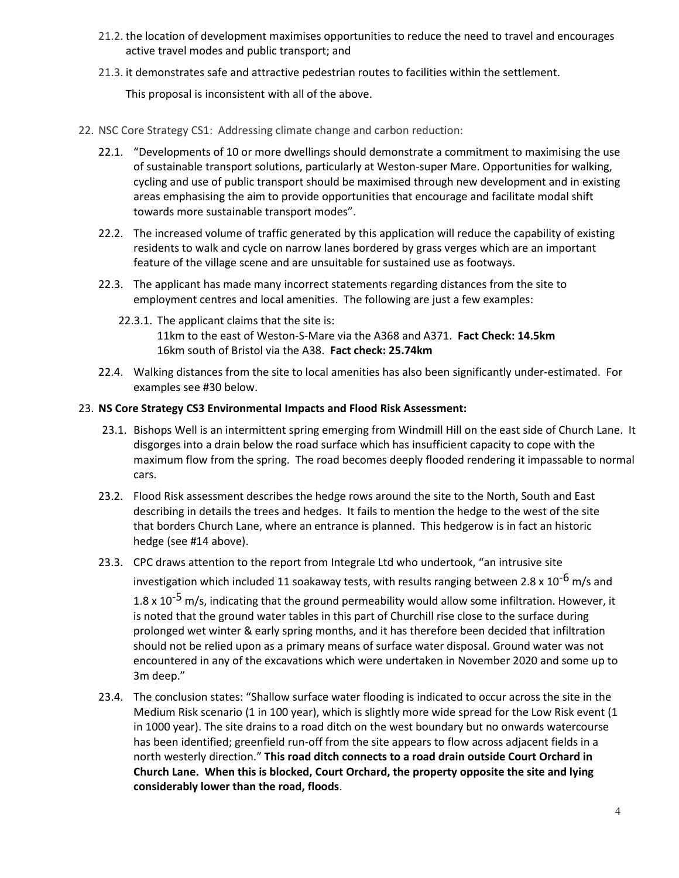- 21.2. the location of development maximises opportunities to reduce the need to travel and encourages active travel modes and public transport; and
- 21.3. it demonstrates safe and attractive pedestrian routes to facilities within the settlement.

This proposal is inconsistent with all of the above.

- 22. NSC Core Strategy CS1: Addressing climate change and carbon reduction:
	- 22.1. "Developments of 10 or more dwellings should demonstrate a commitment to maximising the use of sustainable transport solutions, particularly at Weston-super Mare. Opportunities for walking, cycling and use of public transport should be maximised through new development and in existing areas emphasising the aim to provide opportunities that encourage and facilitate modal shift towards more sustainable transport modes".
	- 22.2. The increased volume of traffic generated by this application will reduce the capability of existing residents to walk and cycle on narrow lanes bordered by grass verges which are an important feature of the village scene and are unsuitable for sustained use as footways.
	- 22.3. The applicant has made many incorrect statements regarding distances from the site to employment centres and local amenities. The following are just a few examples:
		- 22.3.1. The applicant claims that the site is: 11km to the east of Weston-S-Mare via the A368 and A371. **Fact Check: 14.5km** 16km south of Bristol via the A38. **Fact check: 25.74km**
	- 22.4. Walking distances from the site to local amenities has also been significantly under-estimated. For examples see #30 below.

#### 23. **NS Core Strategy CS3 Environmental Impacts and Flood Risk Assessment:**

- 23.1. Bishops Well is an intermittent spring emerging from Windmill Hill on the east side of Church Lane. It disgorges into a drain below the road surface which has insufficient capacity to cope with the maximum flow from the spring. The road becomes deeply flooded rendering it impassable to normal cars.
- 23.2. Flood Risk assessment describes the hedge rows around the site to the North, South and East describing in details the trees and hedges. It fails to mention the hedge to the west of the site that borders Church Lane, where an entrance is planned. This hedgerow is in fact an historic hedge (see #14 above).
- 23.3. CPC draws attention to the report from Integrale Ltd who undertook, "an intrusive site

investigation which included 11 soakaway tests, with results ranging between 2.8 x  $10^{-6}$  m/s and

1.8 x 10<sup>-5</sup> m/s, indicating that the ground permeability would allow some infiltration. However, it is noted that the ground water tables in this part of Churchill rise close to the surface during prolonged wet winter & early spring months, and it has therefore been decided that infiltration should not be relied upon as a primary means of surface water disposal. Ground water was not encountered in any of the excavations which were undertaken in November 2020 and some up to 3m deep."

23.4. The conclusion states: "Shallow surface water flooding is indicated to occur across the site in the Medium Risk scenario (1 in 100 year), which is slightly more wide spread for the Low Risk event (1 in 1000 year). The site drains to a road ditch on the west boundary but no onwards watercourse has been identified; greenfield run-off from the site appears to flow across adjacent fields in a north westerly direction." **This road ditch connects to a road drain outside Court Orchard in Church Lane. When this is blocked, Court Orchard, the property opposite the site and lying considerably lower than the road, floods**.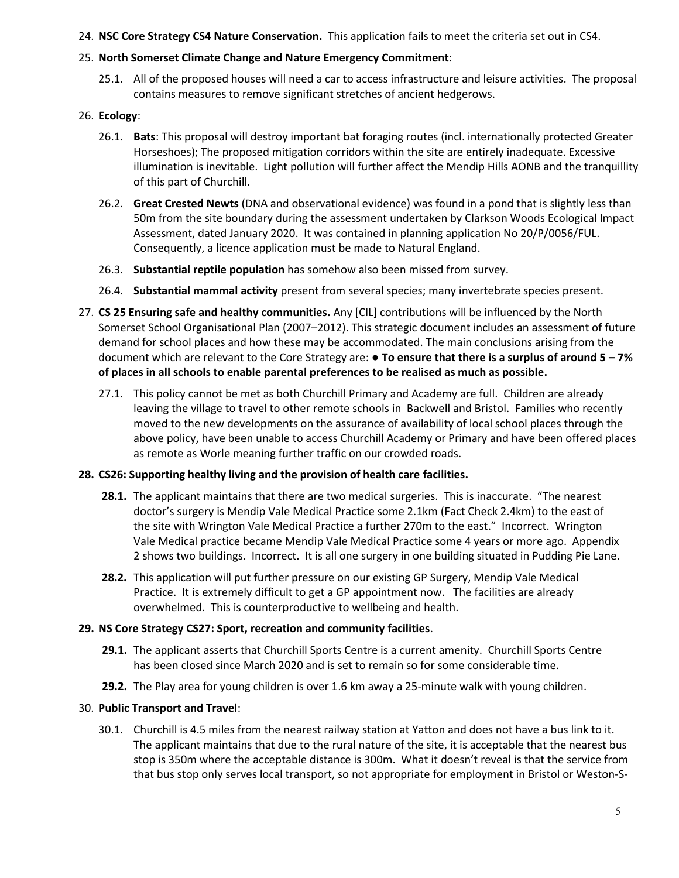## 24. **NSC Core Strategy CS4 Nature Conservation.** This application fails to meet the criteria set out in CS4.

## 25. **North Somerset Climate Change and Nature Emergency Commitment**:

25.1. All of the proposed houses will need a car to access infrastructure and leisure activities. The proposal contains measures to remove significant stretches of ancient hedgerows.

## 26. **Ecology**:

- 26.1. **Bats**: This proposal will destroy important bat foraging routes (incl. internationally protected Greater Horseshoes); The proposed mitigation corridors within the site are entirely inadequate. Excessive illumination is inevitable. Light pollution will further affect the Mendip Hills AONB and the tranquillity of this part of Churchill.
- 26.2. **Great Crested Newts** (DNA and observational evidence) was found in a pond that is slightly less than 50m from the site boundary during the assessment undertaken by Clarkson Woods Ecological Impact Assessment, dated January 2020. It was contained in planning application No 20/P/0056/FUL. Consequently, a licence application must be made to Natural England.
- 26.3. **Substantial reptile population** has somehow also been missed from survey.
- 26.4. **Substantial mammal activity** present from several species; many invertebrate species present.
- 27. **CS 25 Ensuring safe and healthy communities.** Any [CIL] contributions will be influenced by the North Somerset School Organisational Plan (2007–2012). This strategic document includes an assessment of future demand for school places and how these may be accommodated. The main conclusions arising from the document which are relevant to the Core Strategy are: ● **To ensure that there is a surplus of around 5 – 7% of places in all schools to enable parental preferences to be realised as much as possible.**
	- 27.1. This policy cannot be met as both Churchill Primary and Academy are full. Children are already leaving the village to travel to other remote schools in Backwell and Bristol. Families who recently moved to the new developments on the assurance of availability of local school places through the above policy, have been unable to access Churchill Academy or Primary and have been offered places as remote as Worle meaning further traffic on our crowded roads.

#### **28. CS26: Supporting healthy living and the provision of health care facilities.**

- **28.1.** The applicant maintains that there are two medical surgeries. This is inaccurate. "The nearest doctor's surgery is Mendip Vale Medical Practice some 2.1km (Fact Check 2.4km) to the east of the site with Wrington Vale Medical Practice a further 270m to the east." Incorrect. Wrington Vale Medical practice became Mendip Vale Medical Practice some 4 years or more ago. Appendix 2 shows two buildings. Incorrect. It is all one surgery in one building situated in Pudding Pie Lane.
- **28.2.** This application will put further pressure on our existing GP Surgery, Mendip Vale Medical Practice. It is extremely difficult to get a GP appointment now. The facilities are already overwhelmed. This is counterproductive to wellbeing and health.

# **29. NS Core Strategy CS27: Sport, recreation and community facilities**.

- **29.1.** The applicant asserts that Churchill Sports Centre is a current amenity. Churchill Sports Centre has been closed since March 2020 and is set to remain so for some considerable time.
- **29.2.** The Play area for young children is over 1.6 km away a 25-minute walk with young children.

#### 30. **Public Transport and Travel**:

30.1. Churchill is 4.5 miles from the nearest railway station at Yatton and does not have a bus link to it. The applicant maintains that due to the rural nature of the site, it is acceptable that the nearest bus stop is 350m where the acceptable distance is 300m. What it doesn't reveal is that the service from that bus stop only serves local transport, so not appropriate for employment in Bristol or Weston-S-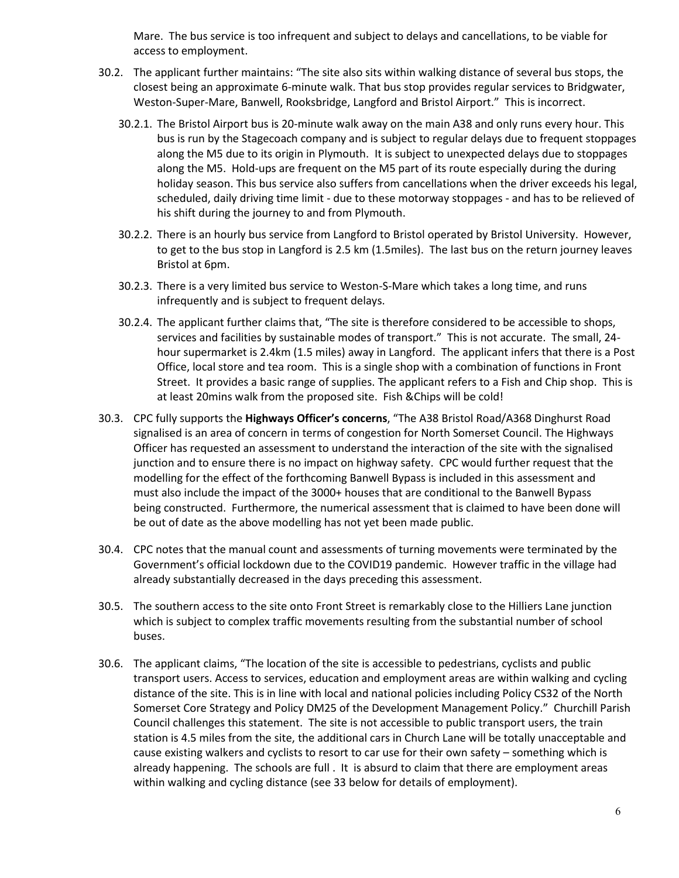Mare. The bus service is too infrequent and subject to delays and cancellations, to be viable for access to employment.

- 30.2. The applicant further maintains: "The site also sits within walking distance of several bus stops, the closest being an approximate 6-minute walk. That bus stop provides regular services to Bridgwater, Weston-Super-Mare, Banwell, Rooksbridge, Langford and Bristol Airport." This is incorrect.
	- 30.2.1. The Bristol Airport bus is 20-minute walk away on the main A38 and only runs every hour. This bus is run by the Stagecoach company and is subject to regular delays due to frequent stoppages along the M5 due to its origin in Plymouth. It is subject to unexpected delays due to stoppages along the M5. Hold-ups are frequent on the M5 part of its route especially during the during holiday season. This bus service also suffers from cancellations when the driver exceeds his legal, scheduled, daily driving time limit - due to these motorway stoppages - and has to be relieved of his shift during the journey to and from Plymouth.
	- 30.2.2. There is an hourly bus service from Langford to Bristol operated by Bristol University. However, to get to the bus stop in Langford is 2.5 km (1.5miles). The last bus on the return journey leaves Bristol at 6pm.
	- 30.2.3. There is a very limited bus service to Weston-S-Mare which takes a long time, and runs infrequently and is subject to frequent delays.
	- 30.2.4. The applicant further claims that, "The site is therefore considered to be accessible to shops, services and facilities by sustainable modes of transport." This is not accurate. The small, 24 hour supermarket is 2.4km (1.5 miles) away in Langford. The applicant infers that there is a Post Office, local store and tea room. This is a single shop with a combination of functions in Front Street. It provides a basic range of supplies. The applicant refers to a Fish and Chip shop. This is at least 20mins walk from the proposed site. Fish &Chips will be cold!
- 30.3. CPC fully supports the **Highways Officer's concerns**, "The A38 Bristol Road/A368 Dinghurst Road signalised is an area of concern in terms of congestion for North Somerset Council. The Highways Officer has requested an assessment to understand the interaction of the site with the signalised junction and to ensure there is no impact on highway safety. CPC would further request that the modelling for the effect of the forthcoming Banwell Bypass is included in this assessment and must also include the impact of the 3000+ houses that are conditional to the Banwell Bypass being constructed. Furthermore, the numerical assessment that is claimed to have been done will be out of date as the above modelling has not yet been made public.
- 30.4. CPC notes that the manual count and assessments of turning movements were terminated by the Government's official lockdown due to the COVID19 pandemic. However traffic in the village had already substantially decreased in the days preceding this assessment.
- 30.5. The southern access to the site onto Front Street is remarkably close to the Hilliers Lane junction which is subject to complex traffic movements resulting from the substantial number of school buses.
- 30.6. The applicant claims, "The location of the site is accessible to pedestrians, cyclists and public transport users. Access to services, education and employment areas are within walking and cycling distance of the site. This is in line with local and national policies including Policy CS32 of the North Somerset Core Strategy and Policy DM25 of the Development Management Policy." Churchill Parish Council challenges this statement. The site is not accessible to public transport users, the train station is 4.5 miles from the site, the additional cars in Church Lane will be totally unacceptable and cause existing walkers and cyclists to resort to car use for their own safety – something which is already happening. The schools are full . It is absurd to claim that there are employment areas within walking and cycling distance (see 33 below for details of employment).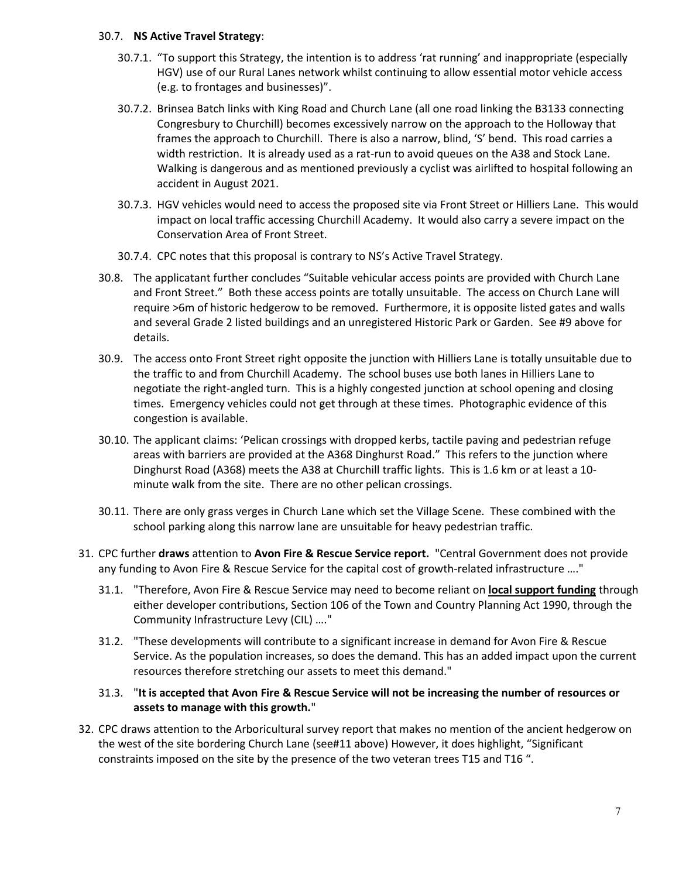#### 30.7. **NS Active Travel Strategy**:

- 30.7.1. "To support this Strategy, the intention is to address 'rat running' and inappropriate (especially HGV) use of our Rural Lanes network whilst continuing to allow essential motor vehicle access (e.g. to frontages and businesses)".
- 30.7.2. Brinsea Batch links with King Road and Church Lane (all one road linking the B3133 connecting Congresbury to Churchill) becomes excessively narrow on the approach to the Holloway that frames the approach to Churchill. There is also a narrow, blind, 'S' bend. This road carries a width restriction. It is already used as a rat-run to avoid queues on the A38 and Stock Lane. Walking is dangerous and as mentioned previously a cyclist was airlifted to hospital following an accident in August 2021.
- 30.7.3. HGV vehicles would need to access the proposed site via Front Street or Hilliers Lane. This would impact on local traffic accessing Churchill Academy. It would also carry a severe impact on the Conservation Area of Front Street.
- 30.7.4. CPC notes that this proposal is contrary to NS's Active Travel Strategy.
- 30.8. The applicatant further concludes "Suitable vehicular access points are provided with Church Lane and Front Street." Both these access points are totally unsuitable. The access on Church Lane will require >6m of historic hedgerow to be removed. Furthermore, it is opposite listed gates and walls and several Grade 2 listed buildings and an unregistered Historic Park or Garden. See #9 above for details.
- 30.9. The access onto Front Street right opposite the junction with Hilliers Lane is totally unsuitable due to the traffic to and from Churchill Academy. The school buses use both lanes in Hilliers Lane to negotiate the right-angled turn. This is a highly congested junction at school opening and closing times. Emergency vehicles could not get through at these times. Photographic evidence of this congestion is available.
- 30.10. The applicant claims: 'Pelican crossings with dropped kerbs, tactile paving and pedestrian refuge areas with barriers are provided at the A368 Dinghurst Road." This refers to the junction where Dinghurst Road (A368) meets the A38 at Churchill traffic lights. This is 1.6 km or at least a 10 minute walk from the site. There are no other pelican crossings.
- 30.11. There are only grass verges in Church Lane which set the Village Scene. These combined with the school parking along this narrow lane are unsuitable for heavy pedestrian traffic.
- 31. CPC further **draws** attention to **Avon Fire & Rescue Service report.** "Central Government does not provide any funding to Avon Fire & Rescue Service for the capital cost of growth-related infrastructure …."
	- 31.1. "Therefore, Avon Fire & Rescue Service may need to become reliant on **local support funding** through either developer contributions, Section 106 of the Town and Country Planning Act 1990, through the Community Infrastructure Levy (CIL) …."
	- 31.2. "These developments will contribute to a significant increase in demand for Avon Fire & Rescue Service. As the population increases, so does the demand. This has an added impact upon the current resources therefore stretching our assets to meet this demand."

## 31.3. "**It is accepted that Avon Fire & Rescue Service will not be increasing the number of resources or assets to manage with this growth.**"

32. CPC draws attention to the Arboricultural survey report that makes no mention of the ancient hedgerow on the west of the site bordering Church Lane (see#11 above) However, it does highlight, "Significant constraints imposed on the site by the presence of the two veteran trees T15 and T16 ".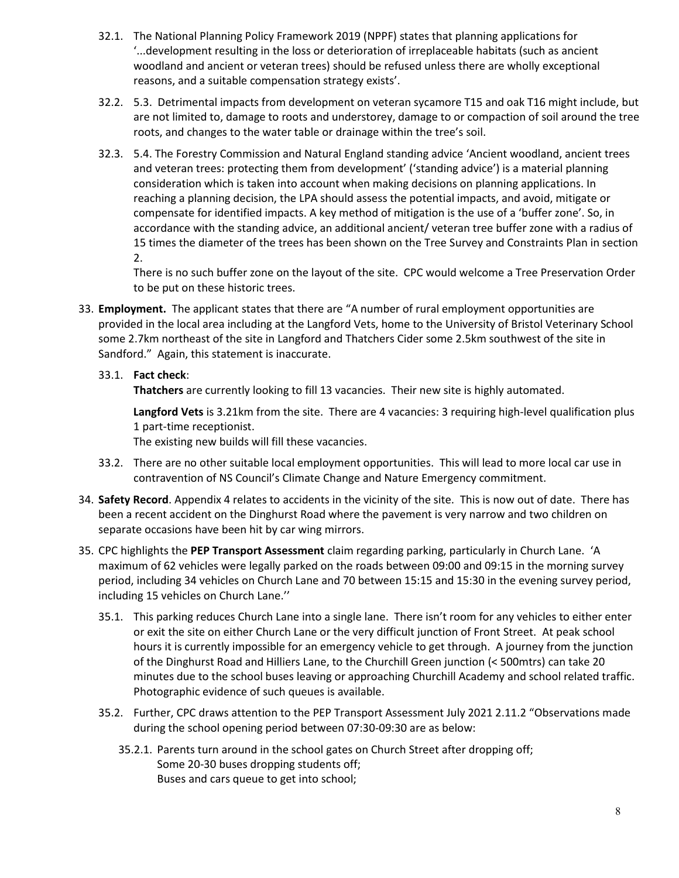- 32.1. The National Planning Policy Framework 2019 (NPPF) states that planning applications for '...development resulting in the loss or deterioration of irreplaceable habitats (such as ancient woodland and ancient or veteran trees) should be refused unless there are wholly exceptional reasons, and a suitable compensation strategy exists'.
- 32.2. 5.3. Detrimental impacts from development on veteran sycamore T15 and oak T16 might include, but are not limited to, damage to roots and understorey, damage to or compaction of soil around the tree roots, and changes to the water table or drainage within the tree's soil.
- 32.3. 5.4. The Forestry Commission and Natural England standing advice 'Ancient woodland, ancient trees and veteran trees: protecting them from development' ('standing advice') is a material planning consideration which is taken into account when making decisions on planning applications. In reaching a planning decision, the LPA should assess the potential impacts, and avoid, mitigate or compensate for identified impacts. A key method of mitigation is the use of a 'buffer zone'. So, in accordance with the standing advice, an additional ancient/ veteran tree buffer zone with a radius of 15 times the diameter of the trees has been shown on the Tree Survey and Constraints Plan in section 2.

There is no such buffer zone on the layout of the site. CPC would welcome a Tree Preservation Order to be put on these historic trees.

33. **Employment.** The applicant states that there are "A number of rural employment opportunities are provided in the local area including at the Langford Vets, home to the University of Bristol Veterinary School some 2.7km northeast of the site in Langford and Thatchers Cider some 2.5km southwest of the site in Sandford." Again, this statement is inaccurate.

# 33.1. **Fact check**:

**Thatchers** are currently looking to fill 13 vacancies. Their new site is highly automated.

**Langford Vets** is 3.21km from the site. There are 4 vacancies: 3 requiring high-level qualification plus 1 part-time receptionist.

The existing new builds will fill these vacancies.

- 33.2. There are no other suitable local employment opportunities. This will lead to more local car use in contravention of NS Council's Climate Change and Nature Emergency commitment.
- 34. **Safety Record**. Appendix 4 relates to accidents in the vicinity of the site. This is now out of date. There has been a recent accident on the Dinghurst Road where the pavement is very narrow and two children on separate occasions have been hit by car wing mirrors.
- 35. CPC highlights the **PEP Transport Assessment** claim regarding parking, particularly in Church Lane. 'A maximum of 62 vehicles were legally parked on the roads between 09:00 and 09:15 in the morning survey period, including 34 vehicles on Church Lane and 70 between 15:15 and 15:30 in the evening survey period, including 15 vehicles on Church Lane.''
	- 35.1. This parking reduces Church Lane into a single lane. There isn't room for any vehicles to either enter or exit the site on either Church Lane or the very difficult junction of Front Street. At peak school hours it is currently impossible for an emergency vehicle to get through. A journey from the junction of the Dinghurst Road and Hilliers Lane, to the Churchill Green junction (< 500mtrs) can take 20 minutes due to the school buses leaving or approaching Churchill Academy and school related traffic. Photographic evidence of such queues is available.
	- 35.2. Further, CPC draws attention to the PEP Transport Assessment July 2021 2.11.2 "Observations made during the school opening period between 07:30-09:30 are as below:
		- 35.2.1. Parents turn around in the school gates on Church Street after dropping off; Some 20-30 buses dropping students off; Buses and cars queue to get into school;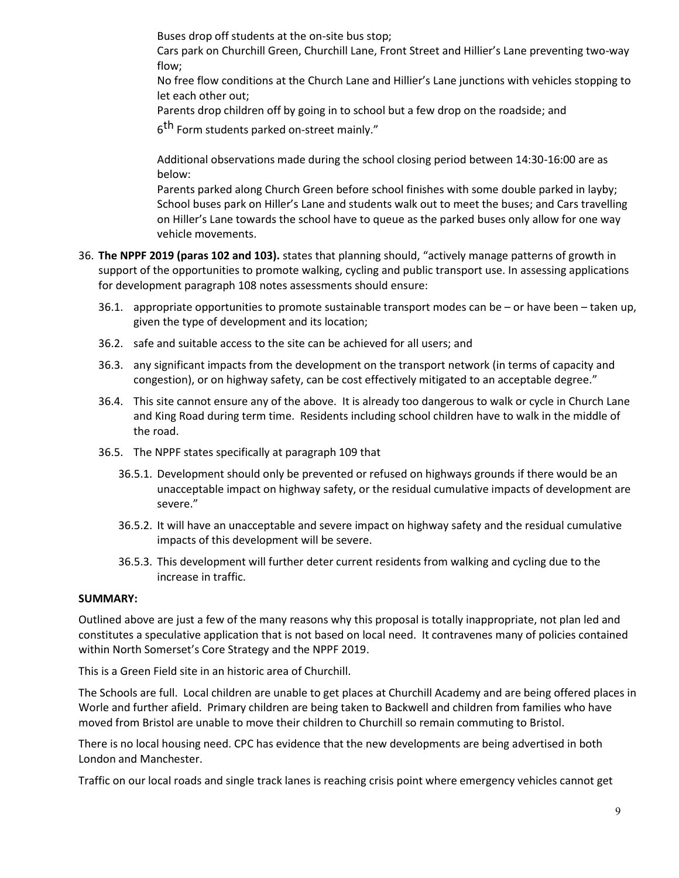Buses drop off students at the on-site bus stop;

Cars park on Churchill Green, Churchill Lane, Front Street and Hillier's Lane preventing two-way flow;

No free flow conditions at the Church Lane and Hillier's Lane junctions with vehicles stopping to let each other out;

Parents drop children off by going in to school but a few drop on the roadside; and

6<sup>th</sup> Form students parked on-street mainly."

Additional observations made during the school closing period between 14:30-16:00 are as below:

Parents parked along Church Green before school finishes with some double parked in layby; School buses park on Hiller's Lane and students walk out to meet the buses; and Cars travelling on Hiller's Lane towards the school have to queue as the parked buses only allow for one way vehicle movements.

- 36. **The NPPF 2019 (paras 102 and 103).** states that planning should, "actively manage patterns of growth in support of the opportunities to promote walking, cycling and public transport use. In assessing applications for development paragraph 108 notes assessments should ensure:
	- 36.1. appropriate opportunities to promote sustainable transport modes can be or have been taken up, given the type of development and its location;
	- 36.2. safe and suitable access to the site can be achieved for all users; and
	- 36.3. any significant impacts from the development on the transport network (in terms of capacity and congestion), or on highway safety, can be cost effectively mitigated to an acceptable degree."
	- 36.4. This site cannot ensure any of the above. It is already too dangerous to walk or cycle in Church Lane and King Road during term time. Residents including school children have to walk in the middle of the road.
	- 36.5. The NPPF states specifically at paragraph 109 that
		- 36.5.1. Development should only be prevented or refused on highways grounds if there would be an unacceptable impact on highway safety, or the residual cumulative impacts of development are severe."
		- 36.5.2. It will have an unacceptable and severe impact on highway safety and the residual cumulative impacts of this development will be severe.
		- 36.5.3. This development will further deter current residents from walking and cycling due to the increase in traffic.

#### **SUMMARY:**

Outlined above are just a few of the many reasons why this proposal is totally inappropriate, not plan led and constitutes a speculative application that is not based on local need. It contravenes many of policies contained within North Somerset's Core Strategy and the NPPF 2019.

This is a Green Field site in an historic area of Churchill.

The Schools are full. Local children are unable to get places at Churchill Academy and are being offered places in Worle and further afield. Primary children are being taken to Backwell and children from families who have moved from Bristol are unable to move their children to Churchill so remain commuting to Bristol.

There is no local housing need. CPC has evidence that the new developments are being advertised in both London and Manchester.

Traffic on our local roads and single track lanes is reaching crisis point where emergency vehicles cannot get